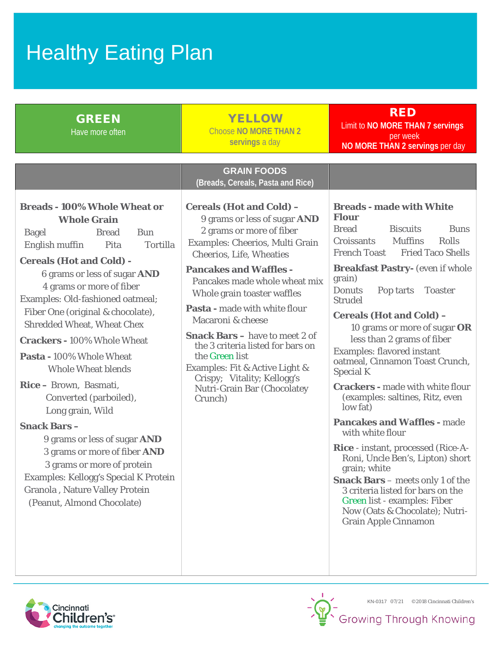## Healthy Eating Plan

| <b>GREEN</b><br>Have more often                                                                                                                                                                                                                                                                                                                                                                         | <b>YELLOW</b><br><b>Choose NO MORE THAN 2</b><br>servings a day                                                                                                                                                                                                                                                                                                                                                                                                                                                                                                                                       | <b>RED</b><br>Limit to NO MORE THAN 7 servings<br>per week<br>NO MORE THAN 2 servings per day                                                                                                                                                                                                                                                                                                                                                                                                                                                                                                                                                                                                                                                                                                                                                                                                                                                 |
|---------------------------------------------------------------------------------------------------------------------------------------------------------------------------------------------------------------------------------------------------------------------------------------------------------------------------------------------------------------------------------------------------------|-------------------------------------------------------------------------------------------------------------------------------------------------------------------------------------------------------------------------------------------------------------------------------------------------------------------------------------------------------------------------------------------------------------------------------------------------------------------------------------------------------------------------------------------------------------------------------------------------------|-----------------------------------------------------------------------------------------------------------------------------------------------------------------------------------------------------------------------------------------------------------------------------------------------------------------------------------------------------------------------------------------------------------------------------------------------------------------------------------------------------------------------------------------------------------------------------------------------------------------------------------------------------------------------------------------------------------------------------------------------------------------------------------------------------------------------------------------------------------------------------------------------------------------------------------------------|
| <b>Breads - 100% Whole Wheat or</b><br><b>Whole Grain</b><br><b>Bread</b><br><b>Bun</b><br><b>Bagel</b><br>English muffin<br><b>Tortilla</b><br>Pita<br><b>Cereals (Hot and Cold) -</b><br>6 grams or less of sugar AND<br>4 grams or more of fiber<br>Examples: Old-fashioned oatmeal;<br>Fiber One (original & chocolate),<br><b>Shredded Wheat, Wheat Chex</b><br><b>Crackers - 100% Whole Wheat</b> | <b>GRAIN FOODS</b><br>(Breads, Cereals, Pasta and Rice)<br><b>Cereals (Hot and Cold) -</b><br>9 grams or less of sugar AND<br>2 grams or more of fiber<br>Examples: Cheerios, Multi Grain<br><b>Cheerios, Life, Wheaties</b><br><b>Pancakes and Waffles -</b><br>Pancakes made whole wheat mix<br>Whole grain toaster waffles<br>Pasta - made with white flour<br>Macaroni & cheese<br><b>Snack Bars</b> – have to meet 2 of<br>the 3 criteria listed for bars on<br>the Green list<br>Examples: Fit & Active Light &<br>Crispy; Vitality; Kellogg's<br><b>Nutri-Grain Bar (Chocolatey</b><br>Crunch) | <b>Breads - made with White</b><br><b>Flour</b><br><b>Bread</b><br><b>Biscuits</b><br><b>Buns</b><br><b>Muffins</b><br>Rolls<br>Croissants<br><b>French Toast</b><br><b>Fried Taco Shells</b><br><b>Breakfast Pastry-</b> (even if whole<br>grain)<br><b>Donuts</b><br>Pop tarts Toaster<br><b>Strudel</b><br><b>Cereals (Hot and Cold) -</b><br>10 grams or more of sugar OR<br>less than 2 grams of fiber<br><b>Examples: flavored instant</b><br>oatmeal, Cinnamon Toast Crunch,<br><b>Special K</b><br><b>Crackers</b> - made with white flour<br>(examples: saltines, Ritz, even<br>low fat)<br><b>Pancakes and Waffles - made</b><br>with white flour<br><b>Rice</b> - instant, processed (Rice-A-<br>Roni, Uncle Ben's, Lipton) short<br>grain; white<br><b>Snack Bars</b> - meets only 1 of the<br>3 criteria listed for bars on the<br>Green list - examples: Fiber<br>Now (Oats & Chocolate); Nutri-<br><b>Grain Apple Cinnamon</b> |
| Pasta - 100% Whole Wheat<br><b>Whole Wheat blends</b><br>Rice - Brown, Basmati,<br>Converted (parboiled),<br>Long grain, Wild<br><b>Snack Bars-</b><br>9 grams or less of sugar AND<br>3 grams or more of fiber AND<br>3 grams or more of protein<br><b>Examples: Kellogg's Special K Protein</b><br>Granola, Nature Valley Protein<br>(Peanut, Almond Chocolate)                                       |                                                                                                                                                                                                                                                                                                                                                                                                                                                                                                                                                                                                       |                                                                                                                                                                                                                                                                                                                                                                                                                                                                                                                                                                                                                                                                                                                                                                                                                                                                                                                                               |



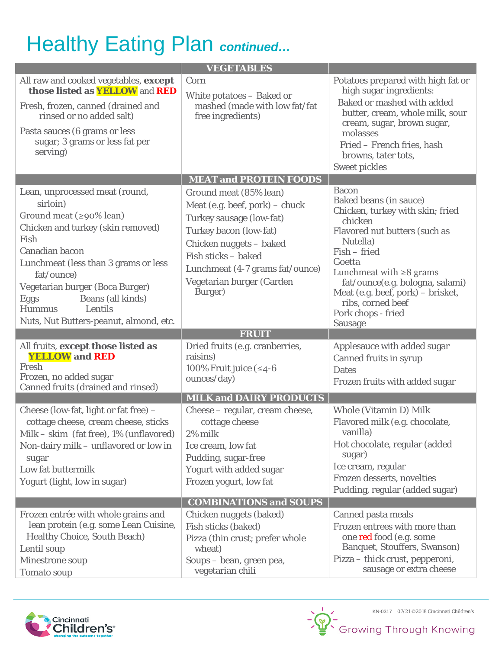## Healthy Eating Plan *continued…*

| <b>VEGETABLES</b>                                                                                                                                                                                                                                                                                                                       |                                                                                                                                                                                                                                             |                                                                                                                                                                                                                                                                                                                                    |  |  |
|-----------------------------------------------------------------------------------------------------------------------------------------------------------------------------------------------------------------------------------------------------------------------------------------------------------------------------------------|---------------------------------------------------------------------------------------------------------------------------------------------------------------------------------------------------------------------------------------------|------------------------------------------------------------------------------------------------------------------------------------------------------------------------------------------------------------------------------------------------------------------------------------------------------------------------------------|--|--|
| All raw and cooked vegetables, except<br>those listed as <b>YELLOW</b> and <b>RED</b><br>Fresh, frozen, canned (drained and<br>rinsed or no added salt)<br>Pasta sauces (6 grams or less<br>sugar; 3 grams or less fat per<br>serving)                                                                                                  | Corn<br>White potatoes – Baked or<br>mashed (made with low fat/fat<br>free ingredients)                                                                                                                                                     | Potatoes prepared with high fat or<br>high sugar ingredients:<br>Baked or mashed with added<br>butter, cream, whole milk, sour<br>cream, sugar, brown sugar,<br>molasses<br>Fried - French fries, hash<br>browns, tater tots,<br><b>Sweet pickles</b>                                                                              |  |  |
|                                                                                                                                                                                                                                                                                                                                         | <b>MEAT and PROTEIN FOODS</b>                                                                                                                                                                                                               |                                                                                                                                                                                                                                                                                                                                    |  |  |
| Lean, unprocessed meat (round,<br>sirloin)<br>Ground meat (≥90% lean)<br>Chicken and turkey (skin removed)<br>Fish<br>Canadian bacon<br>Lunchmeat (less than 3 grams or less<br>fat/ounce)<br>Vegetarian burger (Boca Burger)<br>Beans (all kinds)<br><b>Eggs</b><br><b>Hummus</b><br>Lentils<br>Nuts, Nut Butters-peanut, almond, etc. | Ground meat (85% lean)<br>Meat (e.g. beef, pork) - chuck<br>Turkey sausage (low-fat)<br>Turkey bacon (low-fat)<br>Chicken nuggets - baked<br>Fish sticks - baked<br>Lunchmeat (4-7 grams fat/ounce)<br>Vegetarian burger (Garden<br>Burger) | <b>Bacon</b><br>Baked beans (in sauce)<br>Chicken, turkey with skin; fried<br>chicken<br>Flavored nut butters (such as<br>Nutella)<br>Fish - fried<br>Goetta<br>Lunchmeat with $\geq 8$ grams<br>fat/ounce(e.g. bologna, salami)<br>Meat (e.g. beef, pork) - brisket,<br>ribs, corned beef<br>Pork chops - fried<br><b>Sausage</b> |  |  |
|                                                                                                                                                                                                                                                                                                                                         | <b>FRUIT</b>                                                                                                                                                                                                                                |                                                                                                                                                                                                                                                                                                                                    |  |  |
| All fruits, except those listed as<br><b>YELLOW</b> and <b>RED</b><br>Fresh                                                                                                                                                                                                                                                             | Dried fruits (e.g. cranberries,<br>raisins)                                                                                                                                                                                                 | Applesauce with added sugar<br><b>Canned fruits in syrup</b>                                                                                                                                                                                                                                                                       |  |  |
| Frozen, no added sugar<br>Canned fruits (drained and rinsed)                                                                                                                                                                                                                                                                            | 100% Fruit juice $( \leq 4$ -6<br>ounces/day)                                                                                                                                                                                               | <b>Dates</b><br>Frozen fruits with added sugar                                                                                                                                                                                                                                                                                     |  |  |
|                                                                                                                                                                                                                                                                                                                                         | <b>MILK and DAIRY PRODUCTS</b>                                                                                                                                                                                                              |                                                                                                                                                                                                                                                                                                                                    |  |  |
| Cheese (low-fat, light or fat free) -<br>cottage cheese, cream cheese, sticks<br>Milk – skim (fat free), 1% (unflavored)<br>Non-dairy milk - unflavored or low in<br>sugar<br>Low fat buttermilk<br>Yogurt (light, low in sugar)                                                                                                        | Cheese - regular, cream cheese,<br>cottage cheese<br>2% milk<br>Ice cream, low fat<br>Pudding, sugar-free<br>Yogurt with added sugar<br>Frozen yogurt, low fat                                                                              | Whole (Vitamin D) Milk<br>Flavored milk (e.g. chocolate,<br>vanilla)<br>Hot chocolate, regular (added<br>sugar)<br>Ice cream, regular<br>Frozen desserts, novelties<br>Pudding, regular (added sugar)                                                                                                                              |  |  |
|                                                                                                                                                                                                                                                                                                                                         | <b>COMBINATIONS and SOUPS</b>                                                                                                                                                                                                               |                                                                                                                                                                                                                                                                                                                                    |  |  |
| Frozen entrée with whole grains and<br>lean protein (e.g. some Lean Cuisine,<br><b>Healthy Choice, South Beach)</b><br>Lentil soup<br>Minestrone soup                                                                                                                                                                                   | Chicken nuggets (baked)<br>Fish sticks (baked)<br>Pizza (thin crust; prefer whole<br>wheat)<br>Soups – bean, green pea,                                                                                                                     | Canned pasta meals<br>Frozen entrees with more than<br>one red food (e.g. some<br><b>Banquet, Stouffers, Swanson)</b><br>Pizza – thick crust, pepperoni,<br>sausage or extra cheese                                                                                                                                                |  |  |